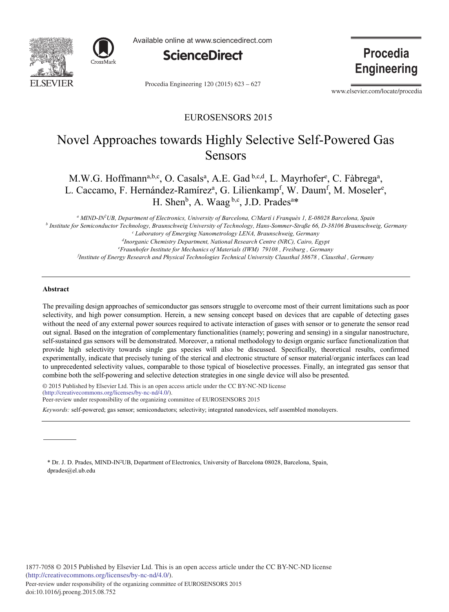



Available online at www.sciencedirect.com



Procedia Engineering 120 (2015) 623 - 627

Procedia **Engineering** 

www.elsevier.com/locate/procedia

# EUROSENSORS 2015

# Novel Approaches towards Highly Selective Self-Powered Gas Sensors

M.W.G. Hoffmann<sup>a,b,c</sup>, O. Casals<sup>a</sup>, A.E. Gad <sup>b,c,d</sup>, L. Mayrhofer<sup>e</sup>, C. Fàbrega<sup>a</sup>, L. Caccamo, F. Hernández-Ramírez<sup>a</sup>, G. Lilienkamp<sup>f</sup>, W. Daum<sup>f</sup>, M. Moseler<sup>e</sup>, H. Shen<sup>b</sup>, A. Waag <sup>b,c</sup>, J.D. Prades<sup>a\*</sup>

<sup>a</sup> MIND-IN<sup>2</sup>UB, Department of Electronics, University of Barcelona, C/Martí i Franquès 1, E-08028 Barcelona, Spain<br><sup>b</sup> Institute for Samiconductor Technology, Braunschwaig University of Technology, Hans Sommar Straße 66,  *Institute for Semiconductor Technology, Braunschweig University of Technology, Hans-Sommer-Straße 66, D-38106 Braunschweig, Germany c* <sup>c</sup> Laboratory of Emerging Nanometrology LENA, Braunschweig, Germany <sup>d</sup>Inorganic Chemistry Department, National Research Centre (NRC), Cairo, Egypt *Fraunhofer Institute for Mechanics of Materials (IWM) 79108 , Freiburg , Germany f*

*Institute of Energy Research and Physical Technologies Technical University Clausthal 38678 , Clausthal , Germany* 

# **Abstract**

The prevailing design approaches of semiconductor gas sensors struggle to overcome most of their current limitations such as poor selectivity, and high power consumption. Herein, a new sensing concept based on devices that are capable of detecting gases without the need of any external power sources required to activate interaction of gases with sensor or to generate the sensor read out signal. Based on the integration of complementary functionalities (namely; powering and sensing) in a singular nanostructure, self-sustained gas sensors will be demonstrated. Moreover, a rational methodology to design organic surface functionalization that provide high selectivity towards single gas species will also be discussed. Specifically, theoretical results, confirmed experimentally, indicate that precisely tuning of the sterical and electronic structure of sensor material/organic interfaces can lead to unprecedented selectivity values, comparable to those typical of bioselective processes. Finally, an integrated gas sensor that combine both the self-powering and selective detection strategies in one single device will also be presented.

© 2015 Published by Elsevier Ltd. This is an open access article under the CC BY-NC-ND license (http://creativecommons.org/licenses/by-nc-nd/4.0/). Peer-review under responsibility of the organizing committee of EUROSENSORS 2015

*Keywords:* self-powered; gas sensor; semiconductors; selectivity; integrated nanodevices, self assembled monolayers.

\* Dr. J. D. Prades, MIND-IN2UB, Department of Electronics, University of Barcelona 08028, Barcelona, Spain, dprades@el.ub.edu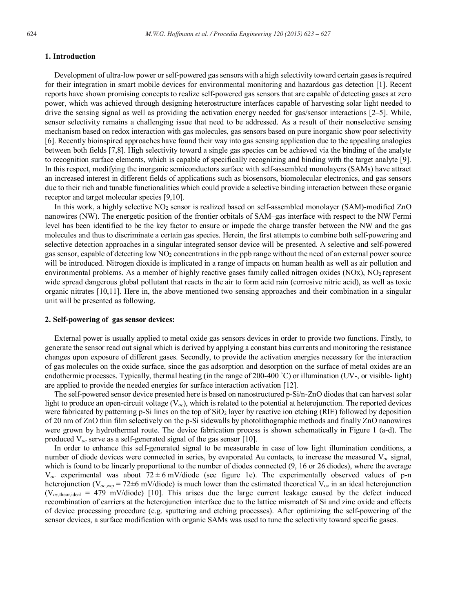## **1. Introduction**

Development of ultra-low power or self-powered gas sensors with a high selectivity toward certain gases is required for their integration in smart mobile devices for environmental monitoring and hazardous gas detection [1]. Recent reports have shown promising concepts to realize self-powered gas sensors that are capable of detecting gases at zero power, which was achieved through designing heterostructure interfaces capable of harvesting solar light needed to drive the sensing signal as well as providing the activation energy needed for gas/sensor interactions [2–5]. While, sensor selectivity remains a challenging issue that need to be addressed. As a result of their nonselective sensing mechanism based on redox interaction with gas molecules, gas sensors based on pure inorganic show poor selectivity [6]. Recently bioinspired approaches have found their way into gas sensing application due to the appealing analogies between both fields [7,8]. High selectivity toward a single gas species can be achieved via the binding of the analyte to recognition surface elements, which is capable of specifically recognizing and binding with the target analyte [9]. In this respect, modifying the inorganic semiconductors surface with self-assembled monolayers (SAMs) have attract an increased interest in different fields of applications such as biosensors, biomolecular electronics, and gas sensors due to their rich and tunable functionalities which could provide a selective binding interaction between these organic receptor and target molecular species [9,10].

In this work, a highly selective NO<sub>2</sub> sensor is realized based on self-assembled monolayer (SAM)-modified ZnO nanowires (NW). The energetic position of the frontier orbitals of SAM–gas interface with respect to the NW Fermi level has been identified to be the key factor to ensure or impede the charge transfer between the NW and the gas molecules and thus to discriminate a certain gas species. Herein, the first attempts to combine both self-powering and selective detection approaches in a singular integrated sensor device will be presented. A selective and self-powered gas sensor, capable of detecting low NO2 concentrations in the ppb range without the need of an external power source will be introduced. Nitrogen dioxide is implicated in a range of impacts on human health as well as air pollution and environmental problems. As a member of highly reactive gases family called nitrogen oxides (NOx), NO<sub>2</sub> represent wide spread dangerous global pollutant that reacts in the air to form acid rain (corrosive nitric acid), as well as toxic organic nitrates [10,11]. Here in, the above mentioned two sensing approaches and their combination in a singular unit will be presented as following.

#### **2. Self-powering of gas sensor devices:**

External power is usually applied to metal oxide gas sensors devices in order to provide two functions. Firstly, to generate the sensor read out signal which is derived by applying a constant bias currents and monitoring the resistance changes upon exposure of different gases. Secondly, to provide the activation energies necessary for the interaction of gas molecules on the oxide surface, since the gas adsorption and desorption on the surface of metal oxides are an endothermic processes. Typically, thermal heating (in the range of 200-400 ˚C) or illumination (UV-, or visible- light) are applied to provide the needed energies for surface interaction activation [12].

The self-powered sensor device presented here is based on nanostructured p-Si/n-ZnO diodes that can harvest solar light to produce an open-circuit voltage (V*oc*), which is related to the potential at heterojunction. The reported devices were fabricated by patterning p-Si lines on the top of SiO<sub>2</sub> layer by reactive ion etching (RIE) followed by deposition of 20 nm of ZnO thin film selectively on the p-Si sidewalls by photolithographic methods and finally ZnO nanowires were grown by hydrothermal route. The device fabrication process is shown schematically in Figure 1 (a-d). The produced V*oc* serve as a self-generated signal of the gas sensor [10].

In order to enhance this self-generated signal to be measurable in case of low light illumination conditions, a number of diode devices were connected in series, by evaporated Au contacts, to increase the measured  $V_{oc}$  signal, which is found to be linearly proportional to the number of diodes connected  $(9, 16)$  or 26 diodes), where the average  $V_{\text{oc}}$  experimental was about  $72 \pm 6$  mV/diode (see figure 1e). The experimentally observed values of p-n heterojunction ( $V_{oc,exp}$  = 72±6 mV/diode) is much lower than the estimated theoretical  $V_{oc}$  in an ideal heterojunction  $(V_{oc,theor,ideal} = 479 \text{ mV/diode})$  [10]. This arises due the large current leakage caused by the defect induced recombination of carriers at the heterojunction interface due to the lattice mismatch of Si and zinc oxide and effects of device processing procedure (e.g. sputtering and etching processes). After optimizing the self-powering of the sensor devices, a surface modification with organic SAMs was used to tune the selectivity toward specific gases.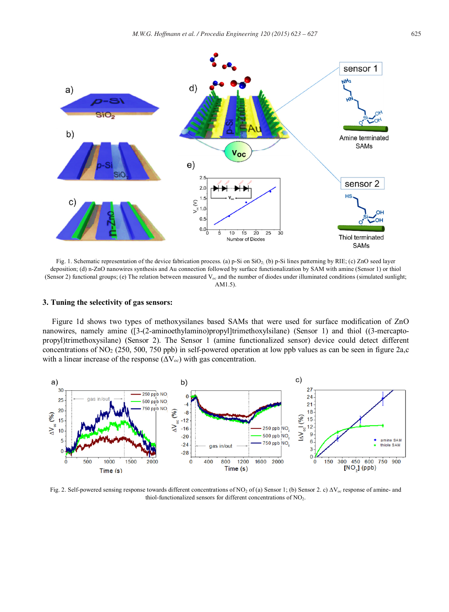

Fig. 1. Schematic representation of the device fabrication process. (a) p-Si on SiO<sub>2</sub> (b) p-Si lines patterning by RIE; (c) ZnO seed layer deposition; (d) n-ZnO nanowires synthesis and Au connection followed by surface functionalization by SAM with amine (Sensor 1) or thiol (Sensor 2) functional groups; (e) The relation between measured V*oc* and the number of diodes under illuminated conditions (simulated sunlight; AM1.5).

# **3. Tuning the selectivity of gas sensors:**

Figure 1d shows two types of methoxysilanes based SAMs that were used for surface modification of ZnO nanowires, namely amine ([3-(2-aminoethylamino)propyl]trimethoxylsilane) (Sensor 1) and thiol ((3-mercaptopropyl)trimethoxysilane) (Sensor 2). The Sensor 1 (amine functionalized sensor) device could detect different concentrations of NO2 (250, 500, 750 ppb) in self-powered operation at low ppb values as can be seen in figure 2a,c with a linear increase of the response (ΔV*oc*) with gas concentration.



Fig. 2. Self-powered sensing response towards different concentrations of NO<sub>2</sub> of (a) Sensor 1; (b) Sensor 2. c) ∆V<sub>oc</sub> response of amine- and thiol-functionalized sensors for different concentrations of  $NO<sub>2</sub>$ .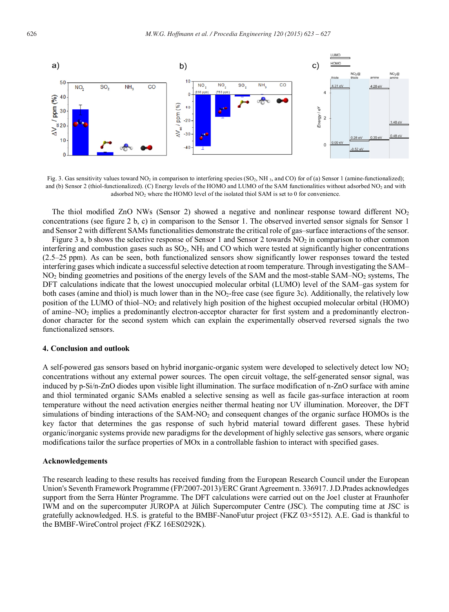

Fig. 3. Gas sensitivity values toward NO<sub>2</sub> in comparison to interfering species (SO<sub>2</sub>, NH<sub>3</sub>, and CO) for of (a) Sensor 1 (amine-functionalized); and (b) Sensor 2 (thiol-functionalized). (C) Energy levels of the HOMO and LUMO of the SAM functionalities without adsorbed NO<sub>2</sub> and with adsorbed NO<sub>2</sub> where the HOMO level of the isolated thiol SAM is set to 0 for convenience.

The thiol modified ZnO NWs (Sensor 2) showed a negative and nonlinear response toward different  $NO<sub>2</sub>$ concentrations (see figure 2 b, c) in comparison to the Sensor 1. The observed inverted sensor signals for Sensor 1 and Sensor 2 with different SAMs functionalities demonstrate the critical role of gas–surface interactions of the sensor.

Figure 3 a, b shows the selective response of Sensor 1 and Sensor 2 towards NO<sub>2</sub> in comparison to other common interfering and combustion gases such as  $SO_2$ , NH<sub>3</sub> and CO which were tested at significantly higher concentrations (2.5–25 ppm). As can be seen, both functionalized sensors show significantly lower responses toward the tested interfering gases which indicate a successful selective detection at room temperature. Through investigating the SAM– NO2 binding geometries and positions of the energy levels of the SAM and the most-stable SAM–NO2 systems, The DFT calculations indicate that the lowest unoccupied molecular orbital (LUMO) level of the SAM–gas system for both cases (amine and thiol) is much lower than in the  $NO<sub>2</sub>$ -free case (see figure 3c). Additionally, the relatively low position of the LUMO of thiol–NO<sub>2</sub> and relatively high position of the highest occupied molecular orbital (HOMO) of amine–NO2 implies a predominantly electron-acceptor character for first system and a predominantly electrondonor character for the second system which can explain the experimentally observed reversed signals the two functionalized sensors.

#### **4. Conclusion and outlook**

A self-powered gas sensors based on hybrid inorganic-organic system were developed to selectively detect low NO2 concentrations without any external power sources. The open circuit voltage, the self-generated sensor signal, was induced by p-Si/n-ZnO diodes upon visible light illumination. The surface modification of n-ZnO surface with amine and thiol terminated organic SAMs enabled a selective sensing as well as facile gas-surface interaction at room temperature without the need activation energies neither thermal heating nor UV illumination. Moreover, the DFT simulations of binding interactions of the SAM-NO<sub>2</sub> and consequent changes of the organic surface HOMOs is the key factor that determines the gas response of such hybrid material toward different gases. These hybrid organic/inorganic systems provide new paradigms for the development of highly selective gas sensors, where organic modifications tailor the surface properties of MOx in a controllable fashion to interact with specified gases.

#### **Acknowledgements**

The research leading to these results has received funding from the European Research Council under the European Union's Seventh Framework Programme (FP/2007-2013)/ERC Grant Agreement n. 336917. J.D.Prades acknowledges support from the Serra Húnter Programme. The DFT calculations were carried out on the Joe1 cluster at Fraunhofer IWM and on the supercomputer JUROPA at Jülich Supercomputer Centre (JSC). The computing time at JSC is gratefully acknowledged. H.S. is grateful to the BMBF-NanoFutur project (FKZ 03×5512). A.E. Gad is thankful to the BMBF-WireControl project *(*FKZ 16ES0292K).